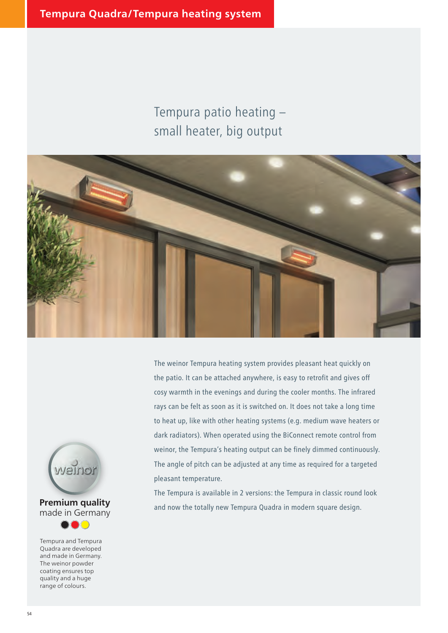Tempura patio heating – small heater, big output



The weinor Tempura heating system provides pleasant heat quickly on the patio. It can be attached anywhere, is easy to retrofit and gives off cosy warmth in the evenings and during the cooler months. The infrared rays can be felt as soon as it is switched on. It does not take a long time to heat up, like with other heating systems (e.g. medium wave heaters or dark radiators). When operated using the BiConnect remote control from weinor, the Tempura's heating output can be finely dimmed continuously. The angle of pitch can be adjusted at any time as required for a targeted pleasant temperature.

The Tempura is available in 2 versions: the Tempura in classic round look and now the totally new Tempura Quadra in modern square design.



Tempura and Tempura Quadra are developed and made in Germany. The weinor powder coating ensures top quality and a huge range of colours.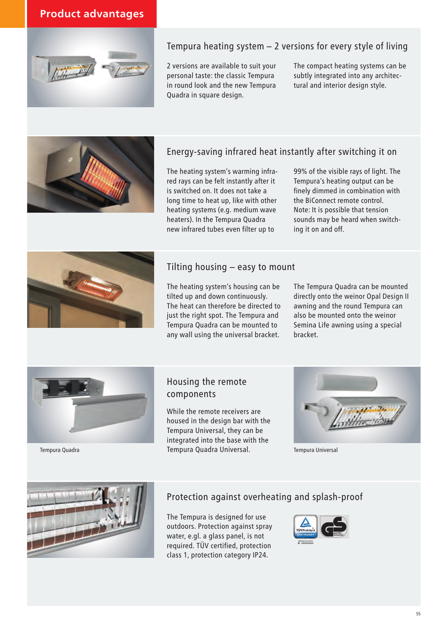## **Product advantages**



# Tempura heating system – 2 versions for every style of living

2 versions are available to suit your personal taste: the classic Tempura in round look and the new Tempura Quadra in square design.

The compact heating systems can be subtly integrated into any architectural and interior design style.



### Energy-saving infrared heat instantly after switching it on

The heating system's warming infrared rays can be felt instantly after it is switched on. It does not take a long time to heat up, like with other heating systems (e.g. medium wave heaters). In the Tempura Quadra new infrared tubes even filter up to

99% of the visible rays of light. The Tempura's heating output can be finely dimmed in combination with the BiConnect remote control. Note: It is possible that tension sounds may be heard when switching it on and off.



#### Tilting housing – easy to mount

The heating system's housing can be tilted up and down continuously. The heat can therefore be directed to just the right spot. The Tempura and Tempura Quadra can be mounted to any wall using the universal bracket.

The Tempura Quadra can be mounted directly onto the weinor Opal Design II awning and the round Tempura can also be mounted onto the weinor Semina Life awning using a special bracket.



### Housing the remote components

While the remote receivers are housed in the design bar with the Tempura Universal, they can be integrated into the base with the Tempura Quadra Universal. Tempura Quadra Tempura Universal





#### Protection against overheating and splash-proof

The Tempura is designed for use outdoors. Protection against spray water, e.gl. a glass panel, is not required. TÜV certified, protection class 1, protection category IP24.

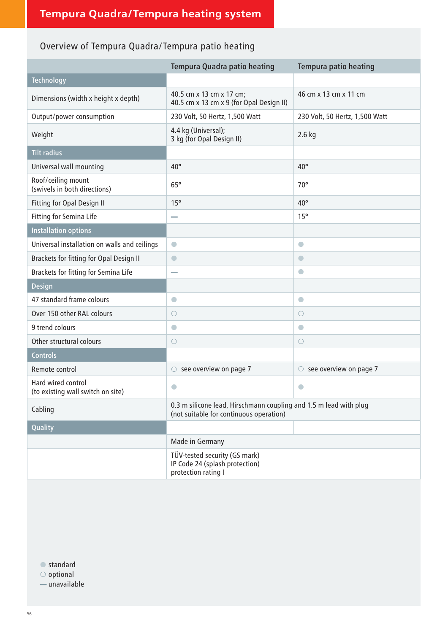# **Tempura Quadra/Tempura heating system**

# Overview of Tempura Quadra/Tempura patio heating

|                                                         | Tempura Quadra patio heating                                                                                 | Tempura patio heating          |
|---------------------------------------------------------|--------------------------------------------------------------------------------------------------------------|--------------------------------|
| <b>Technology</b>                                       |                                                                                                              |                                |
| Dimensions (width x height x depth)                     | 40.5 cm x 13 cm x 17 cm;<br>40.5 cm x 13 cm x 9 (for Opal Design II)                                         | 46 cm x 13 cm x 11 cm          |
| Output/power consumption                                | 230 Volt, 50 Hertz, 1,500 Watt                                                                               | 230 Volt, 50 Hertz, 1,500 Watt |
| Weight                                                  | 4.4 kg (Universal);<br>3 kg (for Opal Design II)                                                             | 2.6 kg                         |
| <b>Tilt radius</b>                                      |                                                                                                              |                                |
| Universal wall mounting                                 | $40^{\circ}$                                                                                                 | $40^{\circ}$                   |
| Roof/ceiling mount<br>(swivels in both directions)      | 65°                                                                                                          | $70^{\circ}$                   |
| Fitting for Opal Design II                              | 15°                                                                                                          | $40^{\circ}$                   |
| Fitting for Semina Life                                 |                                                                                                              | 15°                            |
| <b>Installation options</b>                             |                                                                                                              |                                |
| Universal installation on walls and ceilings            | $\bullet$                                                                                                    | $\bullet$                      |
| Brackets for fitting for Opal Design II                 | $\bullet$                                                                                                    | $\bullet$                      |
| Brackets for fitting for Semina Life                    | man and                                                                                                      | $\bullet$                      |
| <b>Design</b>                                           |                                                                                                              |                                |
| 47 standard frame colours                               | $\bullet$                                                                                                    | $\bullet$                      |
| Over 150 other RAL colours                              | О                                                                                                            | $\bigcirc$                     |
| 9 trend colours                                         | $\bullet$                                                                                                    | $\bullet$                      |
| Other structural colours                                | $\bigcirc$                                                                                                   | О                              |
| <b>Controls</b>                                         |                                                                                                              |                                |
| Remote control                                          | $\circ$ see overview on page 7                                                                               | $\circ$ see overview on page 7 |
| Hard wired control<br>(to existing wall switch on site) | O                                                                                                            | $\bullet$                      |
| Cabling                                                 | 0.3 m silicone lead, Hirschmann coupling and 1.5 m lead with plug<br>(not suitable for continuous operation) |                                |
| Quality                                                 |                                                                                                              |                                |
|                                                         | Made in Germany                                                                                              |                                |
|                                                         | TÜV-tested security (GS mark)<br>IP Code 24 (splash protection)<br>protection rating I                       |                                |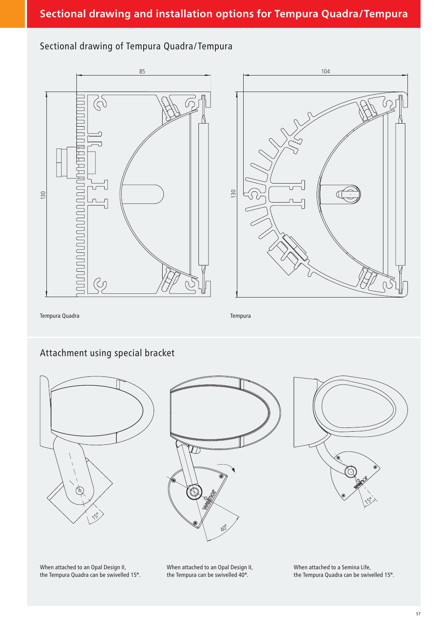### Sectional drawing of Tempura Quadra/Tempura





Tempura Quadra Tempura

# Attachment using special bracket







When attached to an Opal Design II, the Tempura Quadra can be swivelled 15°.

When attached to an Opal Design II, the Tempura can be swivelled 40°.

When attached to a Semina Life, the Tempura Quadra can be swivelled 15°.